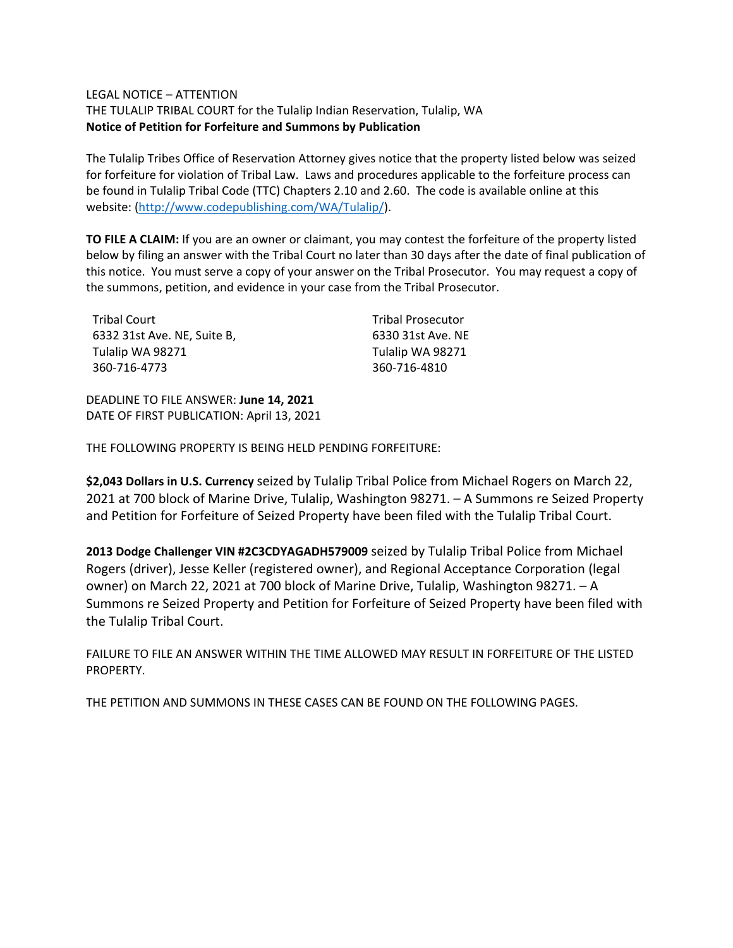## LEGAL NOTICE – ATTENTION

THE TULALIP TRIBAL COURT for the Tulalip Indian Reservation, Tulalip, WA **Notice of Petition for Forfeiture and Summons by Publication**

The Tulalip Tribes Office of Reservation Attorney gives notice that the property listed below was seized for forfeiture for violation of Tribal Law. Laws and procedures applicable to the forfeiture process can be found in Tulalip Tribal Code (TTC) Chapters 2.10 and 2.60. The code is available online at this website: [\(http://www.codepublishing.com/WA/Tulalip/\)](http://www.codepublishing.com/WA/Tulalip/).

**TO FILE A CLAIM:** If you are an owner or claimant, you may contest the forfeiture of the property listed below by filing an answer with the Tribal Court no later than 30 days after the date of final publication of this notice. You must serve a copy of your answer on the Tribal Prosecutor. You may request a copy of the summons, petition, and evidence in your case from the Tribal Prosecutor.

| <b>Tribal Court</b>         |  |
|-----------------------------|--|
| 6332 31st Ave. NE, Suite B, |  |
| Tulalip WA 98271            |  |
| 360-716-4773                |  |

Tribal Prosecutor 6330 31st Ave. NE Tulalip WA 98271 360-716-4810

DEADLINE TO FILE ANSWER: **June 14, 2021** DATE OF FIRST PUBLICATION: April 13, 2021

THE FOLLOWING PROPERTY IS BEING HELD PENDING FORFEITURE:

**\$2,043 Dollars in U.S. Currency** seized by Tulalip Tribal Police from Michael Rogers on March 22, 2021 at 700 block of Marine Drive, Tulalip, Washington 98271. – A Summons re Seized Property and Petition for Forfeiture of Seized Property have been filed with the Tulalip Tribal Court.

**2013 Dodge Challenger VIN #2C3CDYAGADH579009** seized by Tulalip Tribal Police from Michael Rogers (driver), Jesse Keller (registered owner), and Regional Acceptance Corporation (legal owner) on March 22, 2021 at 700 block of Marine Drive, Tulalip, Washington 98271. – A Summons re Seized Property and Petition for Forfeiture of Seized Property have been filed with the Tulalip Tribal Court.

FAILURE TO FILE AN ANSWER WITHIN THE TIME ALLOWED MAY RESULT IN FORFEITURE OF THE LISTED PROPERTY.

THE PETITION AND SUMMONS IN THESE CASES CAN BE FOUND ON THE FOLLOWING PAGES.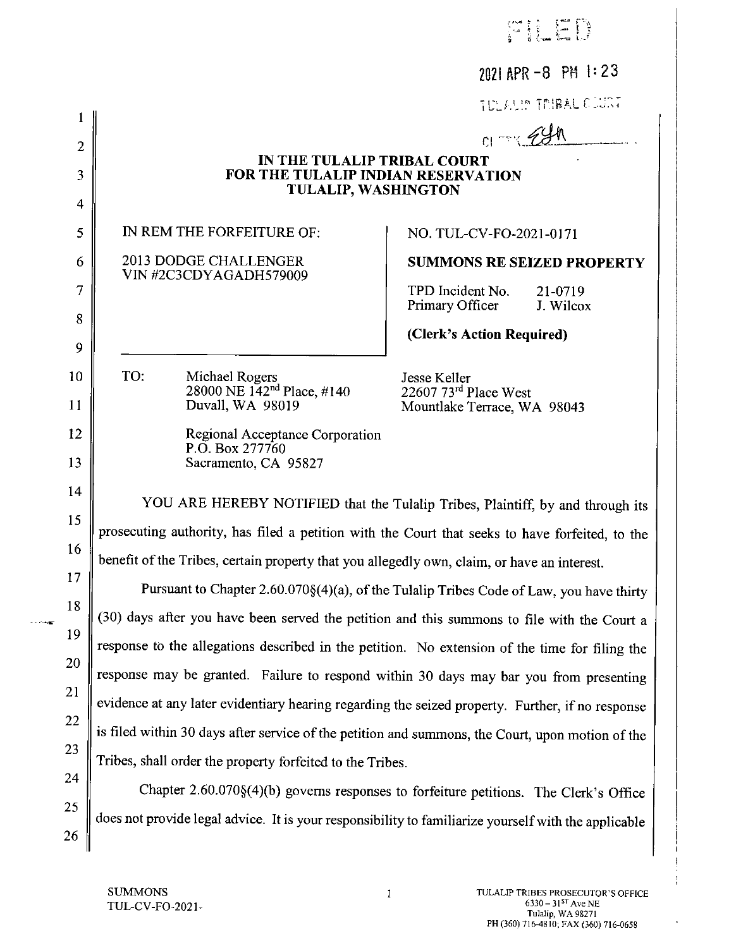|                               |                                                                                                      | 2021 APR -8 PM 1:23                                                                     |
|-------------------------------|------------------------------------------------------------------------------------------------------|-----------------------------------------------------------------------------------------|
|                               |                                                                                                      | TULAUS TRIBAL CUINT                                                                     |
| 1<br>$\overline{2}$           |                                                                                                      | $C1 - 240$                                                                              |
| 3                             | IN THE TULALIP TRIBAL COURT<br>FOR THE TULALIP INDIAN RESERVATION                                    |                                                                                         |
|                               | <b>TULALIP, WASHINGTON</b>                                                                           |                                                                                         |
| $\overline{\mathcal{A}}$<br>5 | IN REM THE FORFEITURE OF:                                                                            | NO. TUL-CV-FO-2021-0171                                                                 |
| 6                             | 2013 DODGE CHALLENGER                                                                                | <b>SUMMONS RE SEIZED PROPERTY</b>                                                       |
| 7                             | VIN #2C3CDYAGADH579009                                                                               |                                                                                         |
|                               |                                                                                                      | TPD Incident No.<br>21-0719<br>Primary Officer<br>J. Wilcox                             |
| 8<br>9                        |                                                                                                      | (Clerk's Action Required)                                                               |
| 10                            | TO:                                                                                                  |                                                                                         |
| 11                            | Michael Rogers<br>28000 NE 142 <sup>nd</sup> Place, #140<br>Duvall, WA 98019                         | Jesse Keller<br>22607 73rd Place West                                                   |
| 12                            |                                                                                                      | Mountlake Terrace, WA 98043                                                             |
| 13                            | Regional Acceptance Corporation<br>P.O. Box 277760<br>Sacramento, CA 95827                           |                                                                                         |
| 14                            |                                                                                                      |                                                                                         |
| 15                            |                                                                                                      | YOU ARE HEREBY NOTIFIED that the Tulalip Tribes, Plaintiff, by and through its          |
| 16                            | prosecuting authority, has filed a petition with the Court that seeks to have forfeited, to the      |                                                                                         |
| 17                            | benefit of the Tribes, certain property that you allegedly own, claim, or have an interest.          |                                                                                         |
| 18                            |                                                                                                      | Pursuant to Chapter 2.60.070§(4)(a), of the Tulalip Tribes Code of Law, you have thirty |
| 19                            | (30) days after you have been served the petition and this summons to file with the Court a          |                                                                                         |
| 20                            | response to the allegations described in the petition. No extension of the time for filing the       |                                                                                         |
| 21                            | response may be granted. Failure to respond within 30 days may bar you from presenting               |                                                                                         |
| 22                            | evidence at any later evidentiary hearing regarding the seized property. Further, if no response     |                                                                                         |
| 23                            | is filed within 30 days after service of the petition and summons, the Court, upon motion of the     |                                                                                         |
| 24                            | Tribes, shall order the property forfeited to the Tribes.                                            |                                                                                         |
| 25                            |                                                                                                      | Chapter 2.60.070§(4)(b) governs responses to forfeiture petitions. The Clerk's Office   |
| 26                            | does not provide legal advice. It is your responsibility to familiarize yourself with the applicable |                                                                                         |

 $\,1$ 

 $\sim$  -  $\sim$ 

 $\mathbf{I}$  $\mathbf{I}$ J,

 $\bar{\phantom{a}}$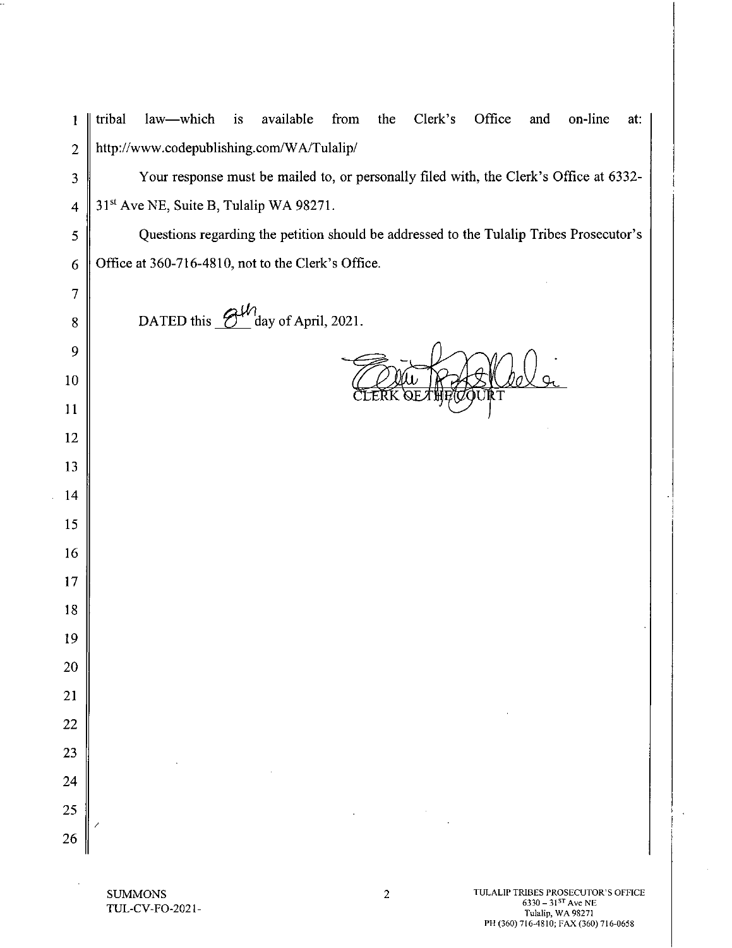| $\mathbf{1}$            | Clerk's<br>Office<br>law—which<br>available<br>from<br>on-line<br>tribal<br>is<br>the<br>and<br>at: |
|-------------------------|-----------------------------------------------------------------------------------------------------|
| $\overline{2}$          | http://www.codepublishing.com/WA/Tulalip/                                                           |
| $\overline{\mathbf{3}}$ | Your response must be mailed to, or personally filed with, the Clerk's Office at 6332-              |
| $\overline{\mathbf{4}}$ | 31 <sup>st</sup> Ave NE, Suite B, Tulalip WA 98271.                                                 |
| 5                       | Questions regarding the petition should be addressed to the Tulalip Tribes Prosecutor's             |
| 6                       | Office at 360-716-4810, not to the Clerk's Office.                                                  |
| 7                       |                                                                                                     |
| 8                       | day of April, 2021.<br>DATED this $\frac{6}{3}$                                                     |
| 9                       |                                                                                                     |
| $10\,$                  | OURT                                                                                                |
| 11                      |                                                                                                     |
| 12                      |                                                                                                     |
| 13                      |                                                                                                     |
| 14                      |                                                                                                     |
| 15                      |                                                                                                     |
| 16                      |                                                                                                     |
| 17                      |                                                                                                     |
| 18                      |                                                                                                     |
| 19                      |                                                                                                     |
| <b>20</b>               |                                                                                                     |
| 21                      |                                                                                                     |
| $\overline{22}$         |                                                                                                     |
| $\overline{23}$         |                                                                                                     |
| $\overline{24}$         |                                                                                                     |
| 25                      |                                                                                                     |
| $\overline{26}$         |                                                                                                     |

**SUMMONS** TUL-CV-FO-2021-

L,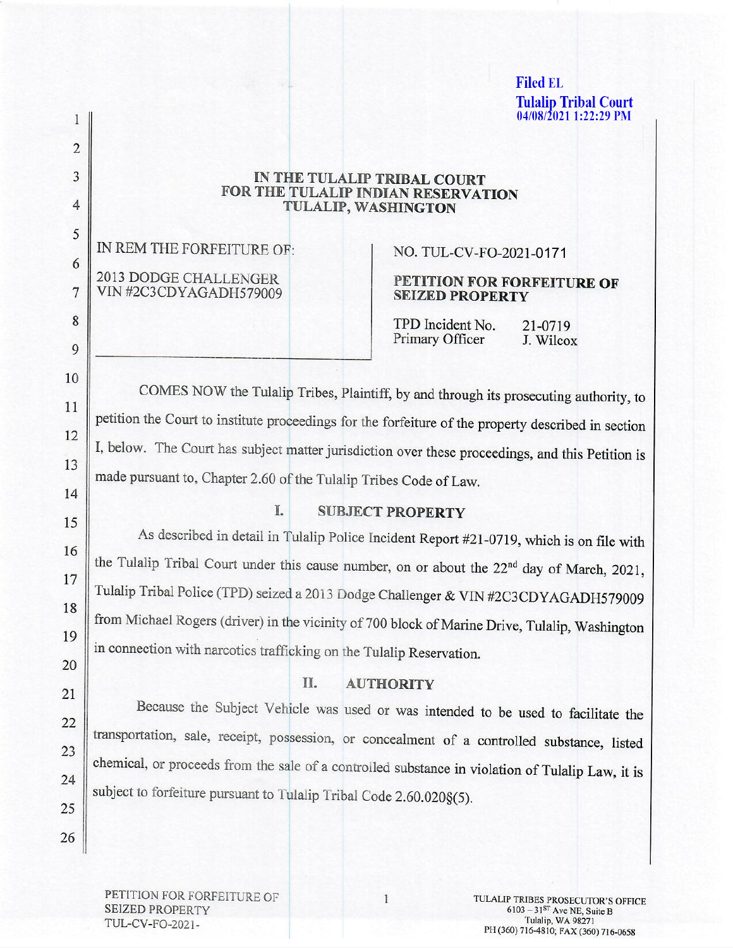**Filed EL Tulalip Tribal Court 04/08/2021 1:22:29 PM** 

# IN THE TULALIP TRIBAL COURT FOR THE TULALIP INDIAN RESERVATION TULALIP, WASHINGTON

IN REM THE FORFEITURE OF: 2013 DODGE CHALLENGER VIN #2C3CDYAGADH579009

# NO. TUL-CV-FO-2021-0171

### PETITION FOR FORFEITURE OF **SEIZED PROPERTY**

TPD Incident No. 21-0719 Primary Officer J. Wilcox

COMES NOW the Tulalip Tribes, Plaintiff, by and through its prosecuting authority, to petition the Court to institute proceedings for the forfeiture of the property described in section I, below. The Court has subject matter jurisdiction over these proceedings, and this Petition is made pursuant to, Chapter 2.60 of the Tulalip Tribes Code of Law.

15

 $\mathbf{1}$ 

 $\overline{2}$ 

3

4

5

6

 $\overline{7}$ 

8

9

10

11

12

13

14

16

17

18

19

20

21

22

23

24

25

26

## **SUBJECT PROPERTY**

L.

As described in detail in Tulalip Police Incident Report #21-0719, which is on file with the Tulalip Tribal Court under this cause number, on or about the 22<sup>nd</sup> day of March, 2021, Tulalip Tribal Police (TPD) seized a 2013 Dodge Challenger & VIN #2C3CDYAGADH579009 from Michael Rogers (driver) in the vicinity of 700 block of Marine Drive, Tulalip, Washington in connection with narcotics trafficking on the Tulalip Reservation.

#### II. **AUTHORITY**

Because the Subject Vehicle was used or was intended to be used to facilitate the transportation, sale, receipt, possession, or concealment of a controlled substance, listed chemical, or proceeds from the sale of a controlled substance in violation of Tulalip Law, it is subject to forfeiture pursuant to Tulalip Tribal Code 2.60.020§(5).

PETITION FOR FORFEITURE OF **SEIZED PROPERTY** TUL-CV-FO-2021-

 $\mathbf{1}$